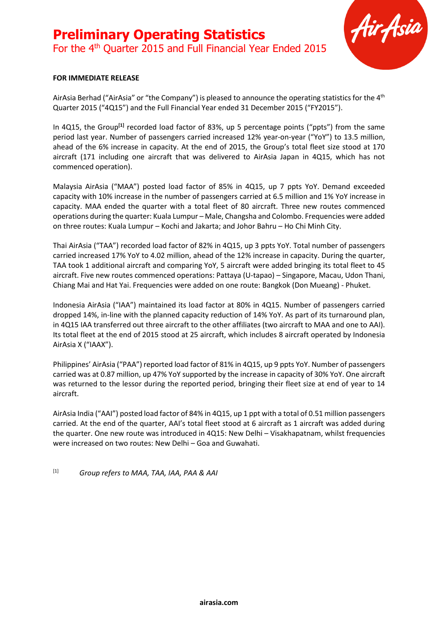## **Preliminary Operating Statistics** For the 4<sup>th</sup> Quarter 2015 and Full Financial Year Ended 2015



#### **FOR IMMEDIATE RELEASE**

AirAsia Berhad ("AirAsia" or "the Company") is pleased to announce the operating statistics for the 4<sup>th</sup> Quarter 2015 ("4Q15") and the Full Financial Year ended 31 December 2015 ("FY2015").

In 4Q15, the Group**[1]** recorded load factor of 83%, up 5 percentage points ("ppts") from the same period last year. Number of passengers carried increased 12% year-on-year ("YoY") to 13.5 million, ahead of the 6% increase in capacity. At the end of 2015, the Group's total fleet size stood at 170 aircraft (171 including one aircraft that was delivered to AirAsia Japan in 4Q15, which has not commenced operation).

Malaysia AirAsia ("MAA") posted load factor of 85% in 4Q15, up 7 ppts YoY. Demand exceeded capacity with 10% increase in the number of passengers carried at 6.5 million and 1% YoY increase in capacity. MAA ended the quarter with a total fleet of 80 aircraft. Three new routes commenced operations during the quarter: Kuala Lumpur – Male, Changsha and Colombo. Frequencies were added on three routes: Kuala Lumpur – Kochi and Jakarta; and Johor Bahru – Ho Chi Minh City.

Thai AirAsia ("TAA") recorded load factor of 82% in 4Q15, up 3 ppts YoY. Total number of passengers carried increased 17% YoY to 4.02 million, ahead of the 12% increase in capacity. During the quarter, TAA took 1 additional aircraft and comparing YoY, 5 aircraft were added bringing its total fleet to 45 aircraft. Five new routes commenced operations: Pattaya (U-tapao) – Singapore, Macau, Udon Thani, Chiang Mai and Hat Yai. Frequencies were added on one route: Bangkok (Don Mueang) - Phuket.

Indonesia AirAsia ("IAA") maintained its load factor at 80% in 4Q15. Number of passengers carried dropped 14%, in-line with the planned capacity reduction of 14% YoY. As part of its turnaround plan, in 4Q15 IAA transferred out three aircraft to the other affiliates (two aircraft to MAA and one to AAI). Its total fleet at the end of 2015 stood at 25 aircraft, which includes 8 aircraft operated by Indonesia AirAsia X ("IAAX").

Philippines' AirAsia ("PAA") reported load factor of 81% in 4Q15, up 9 ppts YoY. Number of passengers carried was at 0.87 million, up 47% YoY supported by the increase in capacity of 30% YoY. One aircraft was returned to the lessor during the reported period, bringing their fleet size at end of year to 14 aircraft.

AirAsia India ("AAI") posted load factor of 84% in 4Q15, up 1 ppt with a total of 0.51 million passengers carried. At the end of the quarter, AAI's total fleet stood at 6 aircraft as 1 aircraft was added during the quarter. One new route was introduced in 4Q15: New Delhi – Visakhapatnam, whilst frequencies were increased on two routes: New Delhi – Goa and Guwahati.

[1] *Group refers to MAA, TAA, IAA, PAA & AAI*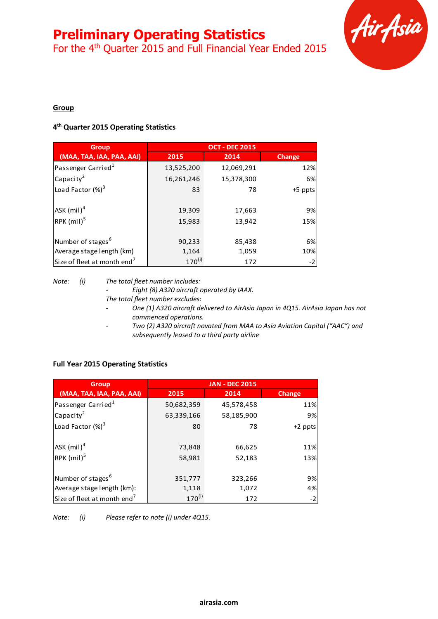For the 4<sup>th</sup> Quarter 2015 and Full Financial Year Ended 2015



### **Group**

### **4 th Quarter 2015 Operating Statistics**

| <b>Group</b>                                               | <b>OCT - DEC 2015</b> |                  |               |  |
|------------------------------------------------------------|-----------------------|------------------|---------------|--|
| (MAA, TAA, IAA, PAA, AAI)                                  | 2015                  | 2014             | <b>Change</b> |  |
| Passenger Carried <sup>1</sup>                             | 13,525,200            | 12,069,291       | 12%           |  |
| $Ca$ pacity <sup>2</sup>                                   | 16,261,246            | 15,378,300       | 6%            |  |
| Load Factor (%) <sup>3</sup>                               | 83                    | 78               | +5 ppts       |  |
| $ $ ASK $(mil)^4$<br>$RPK$ (mil) <sup>5</sup>              | 19,309<br>15,983      | 17,663<br>13,942 | 9%<br>15%     |  |
| Number of stages <sup>6</sup><br>Average stage length (km) | 90,233<br>1,164       | 85,438<br>1,059  | 6%<br>10%     |  |
| Size of fleet at month end <sup>7</sup>                    | $170^{(i)}$           | 172              | $-2$          |  |

*Note: (i) The total fleet number includes:*

*- Eight (8) A320 aircraft operated by IAAX. The total fleet number excludes:*

- *- One (1) A320 aircraft delivered to AirAsia Japan in 4Q15. AirAsia Japan has not commenced operations.*
- *- Two (2) A320 aircraft novated from MAA to Asia Aviation Capital ("AAC") and subsequently leased to a third party airline*

### **Full Year 2015 Operating Statistics**

| <b>Group</b>                             | <b>JAN - DEC 2015</b> |            |               |  |  |
|------------------------------------------|-----------------------|------------|---------------|--|--|
| (MAA, TAA, IAA, PAA, AAI)                | 2015                  | 2014       | <b>Change</b> |  |  |
| Passenger Carried <sup>1</sup>           | 50,682,359            | 45,578,458 | 11%           |  |  |
| Capacity <sup>2</sup>                    | 63,339,166            | 58,185,900 | 9%            |  |  |
| Load Factor $(\%)^3$                     | 80                    | 78         | +2 ppts       |  |  |
| $ {\sf ASK}\left(\mathsf{mil}\right)^4 $ | 73,848                | 66,625     | 11%           |  |  |
| RPK (mil) <sup>5</sup>                   | 58,981                | 52,183     | 13%           |  |  |
| Number of stages <sup>6</sup>            | 351,777               | 323,266    | 9%            |  |  |
| Average stage length (km):               | 1,118                 | 1,072      | 4%            |  |  |
| Size of fleet at month end <sup>7</sup>  | $170^{(i)}$           | 172        | $-2$          |  |  |

*Note: (i) Please refer to note (i) under 4Q15.*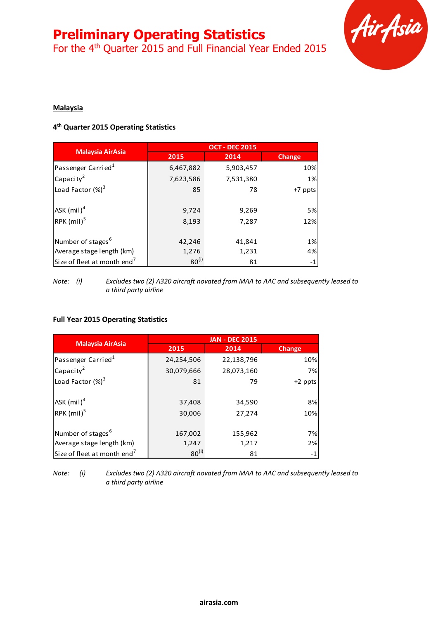For the 4<sup>th</sup> Quarter 2015 and Full Financial Year Ended 2015



### **Malaysia**

### **4 th Quarter 2015 Operating Statistics**

|                                         | <b>OCT - DEC 2015</b> |           |         |  |
|-----------------------------------------|-----------------------|-----------|---------|--|
| <b>Malaysia AirAsia</b>                 | 2015                  | 2014      | Change  |  |
| Passenger Carried <sup>1</sup>          | 6,467,882             | 5,903,457 | 10%     |  |
| Capacity <sup>2</sup>                   | 7,623,586             | 7,531,380 | 1%      |  |
| Load Factor $(\%)^3$                    | 85                    | 78        | +7 ppts |  |
| ASK $(mil)^4$                           | 9,724                 | 9,269     | 5%      |  |
| RPK (mil) <sup>5</sup>                  | 8,193                 | 7,287     | 12%     |  |
| Number of stages <sup>6</sup>           | 42,246                | 41,841    | 1%      |  |
| Average stage length (km)               | 1,276                 | 1,231     | 4%      |  |
| Size of fleet at month end <sup>7</sup> | $80^{(i)}$            | 81        | $-1$    |  |

*Note: (i) Excludes two (2) A320 aircraft novated from MAA to AAC and subsequently leased to a third party airline*

### **Full Year 2015 Operating Statistics**

|                                         | <b>JAN - DEC 2015</b> |            |           |  |
|-----------------------------------------|-----------------------|------------|-----------|--|
| <b>Malaysia AirAsia</b>                 | 2015                  | 2014       | Change    |  |
| Passenger Carried <sup>1</sup>          | 24,254,506            | 22,138,796 | 10%       |  |
| Capacity <sup>2</sup>                   | 30,079,666            | 28,073,160 | 7%l       |  |
| Load Factor $(\%)^3$                    | 81                    | 79         | $+2$ ppts |  |
| $ $ ASK (mil) $^4$                      | 37,408                | 34,590     | 8%        |  |
| $RPK$ (mil) <sup>5</sup>                | 30,006                | 27,274     | 10%       |  |
| Number of stages <sup>6</sup>           | 167,002               | 155,962    | 7%        |  |
| Average stage length (km)               | 1,247                 | 1,217      | 2%        |  |
| Size of fleet at month end <sup>7</sup> | $80^{(i)}$            | 81         | $-1$      |  |

*Note: (i) Excludes two (2) A320 aircraft novated from MAA to AAC and subsequently leased to a third party airline*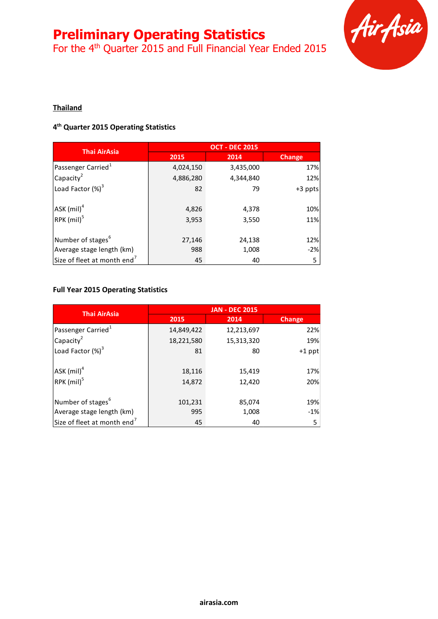For the 4<sup>th</sup> Quarter 2015 and Full Financial Year Ended 2015



### **Thailand**

### **4 th Quarter 2015 Operating Statistics**

| <b>Thai AirAsia</b>                     | <b>OCT - DEC 2015</b> |           |               |  |
|-----------------------------------------|-----------------------|-----------|---------------|--|
|                                         | 2015                  | 2014      | <b>Change</b> |  |
| Passenger Carried <sup>1</sup>          | 4,024,150             | 3,435,000 | 17%           |  |
| $ $ Capacity <sup>2</sup>               | 4,886,280             | 4,344,840 | 12%           |  |
| Load Factor $(\%)^3$                    | 82                    | 79        | $+3$ ppts     |  |
| $ $ ASK $(mil)^4$                       | 4,826                 | 4,378     | 10%           |  |
| RPK (mil) <sup>5</sup>                  | 3,953                 | 3,550     | 11%           |  |
| Number of stages <sup>b</sup>           | 27,146                | 24,138    | 12%           |  |
| Average stage length (km)               | 988                   | 1,008     | $-2%$         |  |
| Size of fleet at month end <sup>7</sup> | 45                    | 40        | 5             |  |

### **Full Year 2015 Operating Statistics**

| <b>Thai AirAsia</b>                     | <b>JAN - DEC 2015</b> |            |          |  |
|-----------------------------------------|-----------------------|------------|----------|--|
|                                         | 2015                  | 2014       | Change   |  |
| Passenger Carried <sup>1</sup>          | 14,849,422            | 12,213,697 | 22%      |  |
| Capacity <sup>2</sup>                   | 18,221,580            | 15,313,320 | 19%      |  |
| Load Factor (%) <sup>3</sup>            | 81                    | 80         | $+1$ ppt |  |
| ASK (mil) <sup>4</sup>                  | 18,116                | 15,419     | 17%      |  |
| RPK (mil) <sup>5</sup>                  | 14,872                | 12,420     | 20%      |  |
| Number of stages <sup>6</sup>           | 101,231               | 85,074     | 19%      |  |
| Average stage length (km)               | 995                   | 1,008      | $-1%$    |  |
| Size of fleet at month end <sup>7</sup> | 45                    | 40         | 5        |  |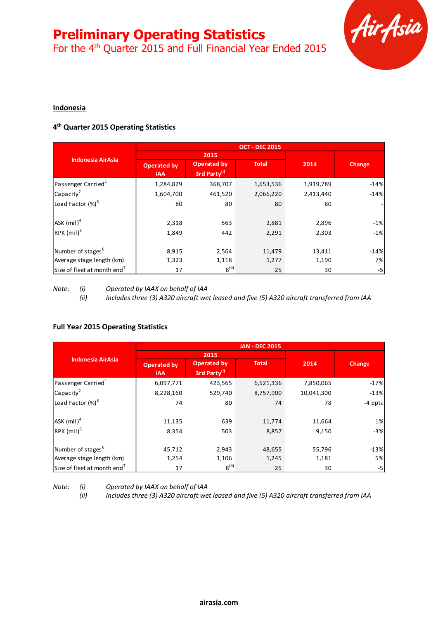For the 4<sup>th</sup> Quarter 2015 and Full Financial Year Ended 2015



### **Indonesia**

### **4 th Quarter 2015 Operating Statistics**

|                                         | <b>OCT - DEC 2015</b>            |                                                |              |           |        |
|-----------------------------------------|----------------------------------|------------------------------------------------|--------------|-----------|--------|
|                                         |                                  | 2015                                           |              |           |        |
| <b>Indonesia AirAsia</b>                | <b>Operated by</b><br><b>IAA</b> | <b>Operated by</b><br>3rd Party <sup>(i)</sup> | <b>Total</b> | 2014      | Change |
| Passenger Carried <sup>1</sup>          | 1,284,829                        | 368,707                                        | 1,653,536    | 1,919,789 | $-14%$ |
| Capacity <sup>2</sup>                   | 1,604,700                        | 461,520                                        | 2,066,220    | 2,413,440 | $-14%$ |
| Load Factor $(\%)^3$                    | 80                               | 80                                             | 80           | 80        |        |
| $ASK$ (mil) <sup>4</sup>                | 2,318                            | 563                                            | 2,881        | 2,896     | $-1%$  |
| RPK (mil) <sup>5</sup>                  | 1,849                            | 442                                            | 2,291        | 2,303     | $-1%$  |
| Number of stages <sup>6</sup>           | 8,915                            | 2,564                                          | 11,479       | 13,411    | $-14%$ |
| Average stage length (km)               | 1,323                            | 1,118                                          | 1,277        | 1,190     | 7%     |
| Size of fleet at month end <sup>1</sup> | 17                               | $8^{(ii)}$                                     | 25           | 30        | -5     |

*Note: (i) Operated by IAAX on behalf of IAA*

*(ii) Includes three (3) A320 aircraft wet leased and five (5) A320 aircraft transferred from IAA*

### **Full Year 2015 Operating Statistics**

|                                         | <b>JAN - DEC 2015</b>     |                                    |              |            |         |
|-----------------------------------------|---------------------------|------------------------------------|--------------|------------|---------|
|                                         |                           | 2015                               |              |            |         |
| <b>Indonesia AirAsia</b>                | Operated by<br><b>IAA</b> | <b>Operated by</b><br>3rd Party(i) | <b>Total</b> | 2014       | Change  |
| Passenger Carried <sup>1</sup>          | 6,097,771                 | 423,565                            | 6,521,336    | 7,850,065  | $-17%$  |
| Capacity <sup>2</sup>                   | 8,228,160                 | 529,740                            | 8,757,900    | 10,041,300 | $-13%$  |
| Load Factor $(\%)^3$                    | 74                        | 80                                 | 74           | 78         | -4 ppts |
| ASK $(mil)^4$                           | 11,135                    | 639                                | 11,774       | 11,664     | 1%      |
| RPK (mil) <sup>5</sup>                  | 8,354                     | 503                                | 8,857        | 9,150      | $-3%$   |
| Number of stages <sup>6</sup>           | 45,712                    | 2,943                              | 48,655       | 55,796     | $-13%$  |
| Average stage length (km)               | 1,254                     | 1,106                              | 1,245        | 1,181      | 5%      |
| Size of fleet at month end <sup>7</sup> | 17                        | 8 <sup>(ii)</sup>                  | 25           | 30         | -5      |

*Note: (i) Operated by IAAX on behalf of IAA* 

*(ii) Includes three (3) A320 aircraft wet leased and five (5) A320 aircraft transferred from IAA*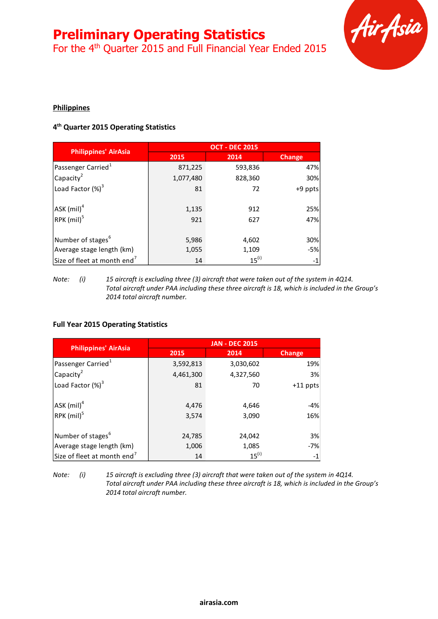For the 4<sup>th</sup> Quarter 2015 and Full Financial Year Ended 2015



### **Philippines**

### **4 th Quarter 2015 Operating Statistics**

|                                             | <b>OCT - DEC 2015</b> |            |               |  |
|---------------------------------------------|-----------------------|------------|---------------|--|
| <b>Philippines' AirAsia</b>                 | 2015                  | 2014       | <b>Change</b> |  |
| Passenger Carried <sup>1</sup>              | 871,225               | 593,836    | 47%           |  |
| Capacity <sup>2</sup>                       | 1,077,480             | 828,360    | 30%           |  |
| Load Factor $(\%)^3$                        | 81                    | 72         | +9 ppts       |  |
| $ $ ASK $(mil)^4$<br>RPK (mil) <sup>5</sup> | 1,135<br>921          | 912<br>627 | 25%<br>47%    |  |
| Number of stages <sup>b</sup>               | 5,986                 | 4,602      | 30%           |  |
| Average stage length (km)                   | 1,055                 | 1,109      | -5%           |  |
| Size of fleet at month end <sup>7</sup>     | 14                    | $15^{(i)}$ | $-1$          |  |

*Note: (i) 15 aircraft is excluding three (3) aircraft that were taken out of the system in 4Q14. Total aircraft under PAA including these three aircraft is 18, which is included in the Group's 2014 total aircraft number.*

### **Full Year 2015 Operating Statistics**

|                                         | <b>JAN - DEC 2015</b> |            |            |  |  |
|-----------------------------------------|-----------------------|------------|------------|--|--|
| <b>Philippines' AirAsia</b>             | 2015                  | 2014       | Change     |  |  |
| Passenger Carried <sup>1</sup>          | 3,592,813             | 3,030,602  | 19%        |  |  |
| Capacity <sup>2</sup>                   | 4,461,300             | 4,327,560  | 3%         |  |  |
| Load Factor (%) <sup>3</sup>            | 81                    | 70         | $+11$ ppts |  |  |
| $ $ ASK (mil) <sup>4</sup>              | 4,476                 | 4,646      | -4%        |  |  |
| RPK (mil) <sup>5</sup>                  | 3,574                 | 3,090      | 16%        |  |  |
| Number of stages <sup>6</sup>           | 24,785                | 24,042     | 3%         |  |  |
| Average stage length (km)               | 1,006                 | 1,085      | $-7%$      |  |  |
| Size of fleet at month end <sup>7</sup> | 14                    | $15^{(i)}$ | -1         |  |  |

*Note: (i) 15 aircraft is excluding three (3) aircraft that were taken out of the system in 4Q14. Total aircraft under PAA including these three aircraft is 18, which is included in the Group's 2014 total aircraft number.*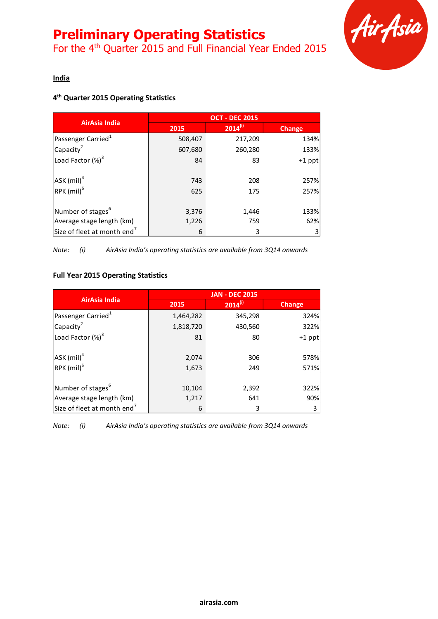For the 4<sup>th</sup> Quarter 2015 and Full Financial Year Ended 2015



### **India**

### **4 th Quarter 2015 Operating Statistics**

|                                         | <b>OCT - DEC 2015</b> |              |               |  |
|-----------------------------------------|-----------------------|--------------|---------------|--|
| <b>AirAsia India</b>                    | 2015                  | $2014^{(i)}$ | <b>Change</b> |  |
| Passenger Carried <sup>1</sup>          | 508,407               | 217,209      | 134%          |  |
| Capacity <sup>2</sup>                   | 607,680               | 260,280      | 133%          |  |
| Load Factor (%) <sup>3</sup>            | 84                    | 83           | $+1$ ppt      |  |
|                                         |                       |              |               |  |
| ASK (mil) <sup>4</sup>                  | 743                   | 208          | 257%          |  |
| RPK (mil) <sup>5</sup>                  | 625                   | 175          | 257%          |  |
|                                         |                       |              |               |  |
| Number of stages <sup>6</sup>           | 3,376                 | 1,446        | 133%          |  |
| Average stage length (km)               | 1,226                 | 759          | 62%           |  |
| Size of fleet at month end <sup>7</sup> | 6                     | 3            |               |  |

*Note: (i) AirAsia India's operating statistics are available from 3Q14 onwards*

### **Full Year 2015 Operating Statistics**

|                                         | <b>JAN - DEC 2015</b> |              |               |  |
|-----------------------------------------|-----------------------|--------------|---------------|--|
| <b>AirAsia India</b>                    | 2015                  | $2014^{(i)}$ | <b>Change</b> |  |
| Passenger Carried <sup>1</sup>          | 1,464,282             | 345,298      | 324%          |  |
| Capacity <sup>2</sup>                   | 1,818,720             | 430,560      | 322%          |  |
| Load Factor (%) <sup>3</sup>            | 81                    | 80           | $+1$ ppt      |  |
|                                         |                       |              |               |  |
| $ $ ASK $(mil)^4$                       | 2,074                 | 306          | 578%          |  |
| RPK (mil) <sup>5</sup>                  | 1,673                 | 249          | 571%          |  |
|                                         |                       |              |               |  |
| Number of stages <sup>b</sup>           | 10,104                | 2,392        | 322%          |  |
| Average stage length (km)               | 1,217                 | 641          | 90%           |  |
| Size of fleet at month end <sup>7</sup> | 6                     | 3            | 3             |  |

*Note: (i) AirAsia India's operating statistics are available from 3Q14 onwards*